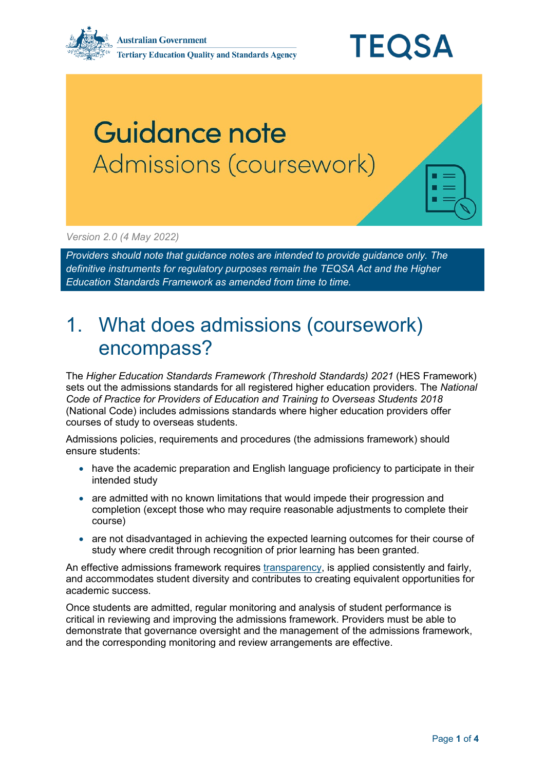

## Guidance note Admissions (coursework)

*Version 2.0 (4 May 2022)* 

*Providers should note that guidance notes are intended to provide guidance only. The definitive instruments for regulatory purposes remain the TEQSA Act and the Higher Education Standards Framework as amended from time to time.*

## 1. What does admissions (coursework) encompass?

The *Higher Education Standards Framework (Threshold Standards) 2021* (HES Framework) sets out the admissions standards for all registered higher education providers. The *National Code of Practice for Providers of Education and Training to Overseas Students 2018* (National Code) includes admissions standards where higher education providers offer courses of study to overseas students.

Admissions policies, requirements and procedures (the admissions framework) should ensure students:

- have the academic preparation and English language proficiency to participate in their intended study
- are admitted with no known limitations that would impede their progression and completion (except those who may require reasonable adjustments to complete their course)
- are not disadvantaged in achieving the expected learning outcomes for their course of study where credit through recognition of prior learning has been granted.

An effective admissions framework requires [transparency,](https://www.teqsa.gov.au/admissions-transparency) is applied consistently and fairly, and accommodates student diversity and contributes to creating equivalent opportunities for academic success.

Once students are admitted, regular monitoring and analysis of student performance is critical in reviewing and improving the admissions framework. Providers must be able to demonstrate that governance oversight and the management of the admissions framework, and the corresponding monitoring and review arrangements are effective.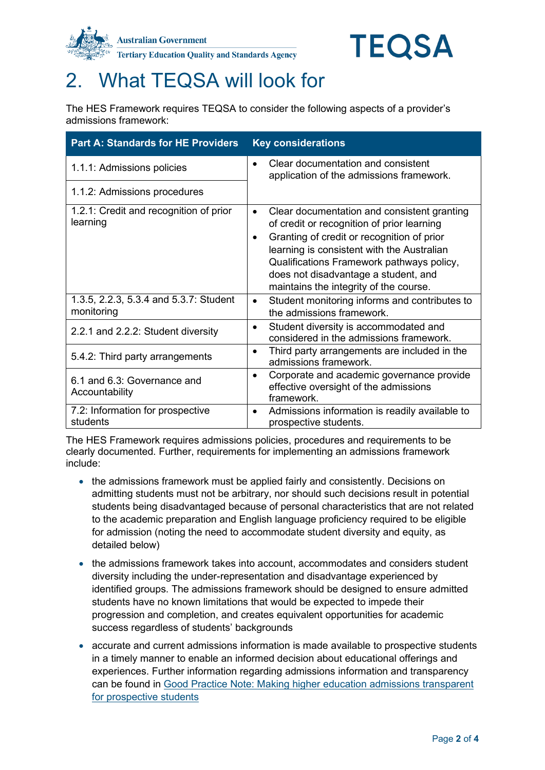



## 2. What TEQSA will look for

The HES Framework requires TEQSA to consider the following aspects of a provider's admissions framework:

| <b>Part A: Standards for HE Providers</b>            | <b>Key considerations</b>                                                                                                                                                                                                                                                                                                                      |
|------------------------------------------------------|------------------------------------------------------------------------------------------------------------------------------------------------------------------------------------------------------------------------------------------------------------------------------------------------------------------------------------------------|
| 1.1.1: Admissions policies                           | Clear documentation and consistent<br>application of the admissions framework.                                                                                                                                                                                                                                                                 |
| 1.1.2: Admissions procedures                         |                                                                                                                                                                                                                                                                                                                                                |
| 1.2.1: Credit and recognition of prior<br>learning   | Clear documentation and consistent granting<br>$\bullet$<br>of credit or recognition of prior learning<br>Granting of credit or recognition of prior<br>$\bullet$<br>learning is consistent with the Australian<br>Qualifications Framework pathways policy,<br>does not disadvantage a student, and<br>maintains the integrity of the course. |
| 1.3.5, 2.2.3, 5.3.4 and 5.3.7: Student<br>monitoring | Student monitoring informs and contributes to<br>$\bullet$<br>the admissions framework.                                                                                                                                                                                                                                                        |
| 2.2.1 and 2.2.2: Student diversity                   | Student diversity is accommodated and<br>considered in the admissions framework.                                                                                                                                                                                                                                                               |
| 5.4.2: Third party arrangements                      | Third party arrangements are included in the<br>$\bullet$<br>admissions framework.                                                                                                                                                                                                                                                             |
| 6.1 and 6.3: Governance and<br>Accountability        | Corporate and academic governance provide<br>$\bullet$<br>effective oversight of the admissions<br>framework.                                                                                                                                                                                                                                  |
| 7.2: Information for prospective<br>students         | Admissions information is readily available to<br>٠<br>prospective students.                                                                                                                                                                                                                                                                   |

The HES Framework requires admissions policies, procedures and requirements to be clearly documented. Further, requirements for implementing an admissions framework include:

- the admissions framework must be applied fairly and consistently. Decisions on admitting students must not be arbitrary, nor should such decisions result in potential students being disadvantaged because of personal characteristics that are not related to the academic preparation and English language proficiency required to be eligible for admission (noting the need to accommodate student diversity and equity, as detailed below)
- the admissions framework takes into account, accommodates and considers student diversity including the under-representation and disadvantage experienced by identified groups. The admissions framework should be designed to ensure admitted students have no known limitations that would be expected to impede their progression and completion, and creates equivalent opportunities for academic success regardless of students' backgrounds
- accurate and current admissions information is made available to prospective students in a timely manner to enable an informed decision about educational offerings and experiences. Further information regarding admissions information and transparency can be found in [Good Practice Note: Making higher education admissions transparent](https://www.teqsa.gov.au/latest-news/publications/good-practice-note-making-higher-education-admissions-transparent)  [for prospective students](https://www.teqsa.gov.au/latest-news/publications/good-practice-note-making-higher-education-admissions-transparent)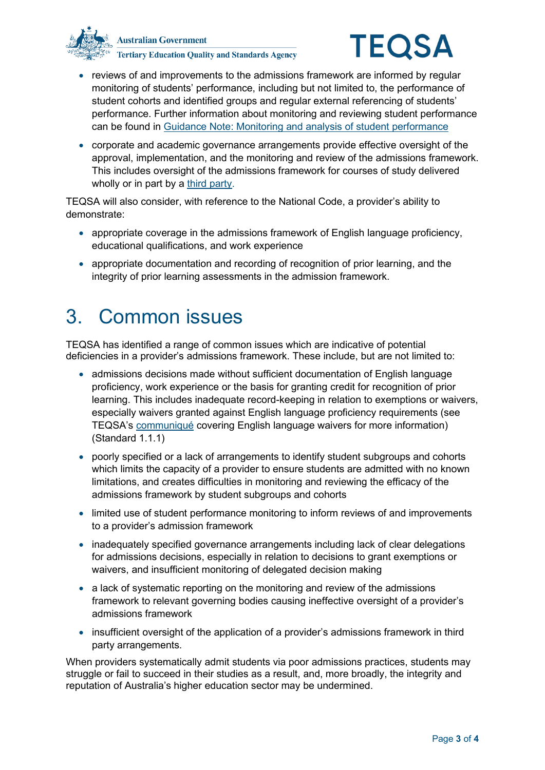



- reviews of and improvements to the admissions framework are informed by regular monitoring of students' performance, including but not limited to, the performance of student cohorts and identified groups and regular external referencing of students' performance. Further information about monitoring and reviewing student performance can be found in [Guidance Note: Monitoring and analysis of student performance](https://www.teqsa.gov.au/latest-news/publications/guidance-note-monitoring-and-analysis-student-performance)
- corporate and academic governance arrangements provide effective oversight of the approval, implementation, and the monitoring and review of the admissions framework. This includes oversight of the admissions framework for courses of study delivered wholly or in part by a [third party.](https://www.teqsa.gov.au/latest-news/publications/guidance-note-third-party-arrangements)

TEQSA will also consider, with reference to the National Code, a provider's ability to demonstrate:

- appropriate coverage in the admissions framework of English language proficiency, educational qualifications, and work experience
- appropriate documentation and recording of recognition of prior learning, and the integrity of prior learning assessments in the admission framework.

## 3. Common issues

TEQSA has identified a range of common issues which are indicative of potential deficiencies in a provider's admissions framework. These include, but are not limited to:

- admissions decisions made without sufficient documentation of English language proficiency, work experience or the basis for granting credit for recognition of prior learning. This includes inadequate record-keeping in relation to exemptions or waivers, especially waivers granted against English language proficiency requirements (see TEQSA's [communiqué](https://www.teqsa.gov.au/latest-news/publications/english-waivers-definition) covering English language waivers for more information) (Standard 1.1.1)
- poorly specified or a lack of arrangements to identify student subgroups and cohorts which limits the capacity of a provider to ensure students are admitted with no known limitations, and creates difficulties in monitoring and reviewing the efficacy of the admissions framework by student subgroups and cohorts
- limited use of student performance monitoring to inform reviews of and improvements to a provider's admission framework
- inadequately specified governance arrangements including lack of clear delegations for admissions decisions, especially in relation to decisions to grant exemptions or waivers, and insufficient monitoring of delegated decision making
- a lack of systematic reporting on the monitoring and review of the admissions framework to relevant governing bodies causing ineffective oversight of a provider's admissions framework
- insufficient oversight of the application of a provider's admissions framework in third party arrangements.

When providers systematically admit students via poor admissions practices, students may struggle or fail to succeed in their studies as a result, and, more broadly, the integrity and reputation of Australia's higher education sector may be undermined.